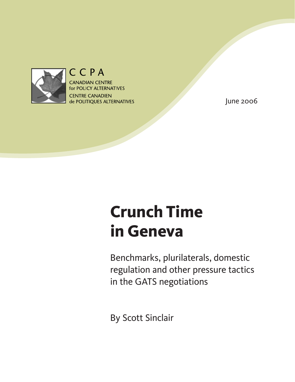

## CCPA

**CANADIAN CENTRE** for POLICY ALTERNATIVES **CENTRE CANADIEN** de POLITIQUES ALTERNATIVES

June 2006

# **Crunch Time in Geneva**

Benchmarks, plurilaterals, domestic regulation and other pressure tactics in the GATS negotiations

By Scott Sinclair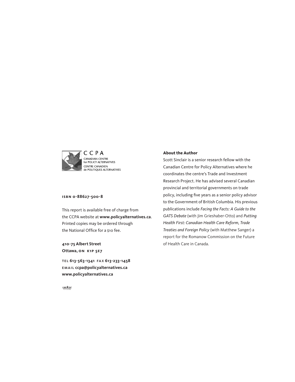

### **isbn 0-88627-500-8**

This report is available free of charge from the CCPA website at **<www.policyalternatives.ca>**. Printed copies may be ordered through the National Office for a \$10 fee.

**410-75 Albert Street Ottawa, on k1p 5e7**

tel **613-563-1341** fa x **613-233-1458** email **ccpa@policyalternatives.ca <www.policyalternatives.ca>**

#### **About the Author**

Scott Sinclair is a senior research fellow with the Canadian Centre for Policy Alternatives where he coordinates the centre's Trade and Investment Research Project. He has advised several Canadian provincial and territorial governments on trade policy, including five years as a senior policy advisor to the Government of British Columbia. His previous publications include *Facing the Facts: A Guide to the GATS Debate* (with Jim Grieshaber-Otto) and *Putting Health First: Canadian Health Care Reform, Trade Treaties and Foreign Policy* (with Matthew Sanger) a report for the Romanow Commission on the Future of Health Care in Canada.

 $CAW = 567$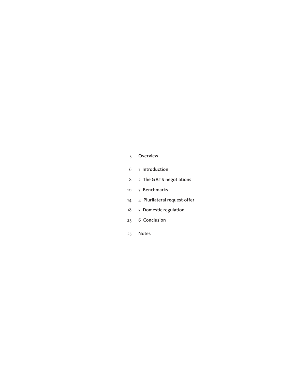### [Overview](#page-4-0)

- 1 [Introduction](#page-5-0)
- 8 2 The GATS [negotiations](#page-7-0)
- 3 [Benchmarks](#page-9-0)
- 4 Plurilateral [request-offer](#page-13-0)
- 18 5 Domestic regulation
- 6 [Conclusion](#page-22-0)
- [Notes](#page-24-0)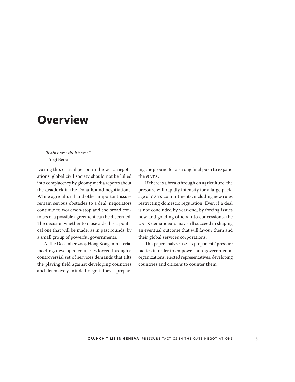## <span id="page-4-0"></span>**Overview**

 *"It ain't over till it's over."*  — Yogi Berra

During this critical period in the WTO negotiations, global civil society should not be lulled into complacency by gloomy media reports about the deadlock in the Doha Round negotiations. While agricultural and other important issues remain serious obstacles to a deal, negotiators continue to work non-stop and the broad contours of a possible agreement can be discerned. The decision whether to close a deal is a political one that will be made, as in past rounds, by a small group of powerful governments.

At the December 2005 Hong Kong ministerial meeting, developed countries forced through a controversial set of services demands that tilts the playing field against developing countries and defensively-minded negotiators — preparing the ground for a strong final push to expand the GATS.

If there is a breakthrough on agriculture, the pressure will rapidly intensify for a large package of GATS commitments, including new rules restricting domestic regulation. Even if a deal is not concluded by year-end, by forcing issues now and goading others into concessions, the GATS demandeurs may still succeed in shaping an eventual outcome that will favour them and their global services corporations.

This paper analyzes GATS proponents' pressure tactics in order to empower non-governmental organizations, elected representatives, developing countries and citizens to counter them.<sup>1</sup>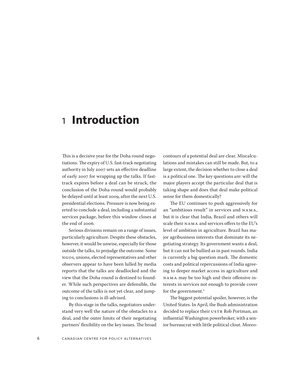## <span id="page-5-0"></span>1 **Introduction**

This is a decisive year for the Doha round negotiations. The expiry of U.S. fast-track negotiating authority in July 2007 sets an effective deadline of early 2007 for wrapping up the talks. If fasttrack expires before a deal can be struck, the conclusion of the Doha round would probably be delayed until at least 2009, after the next U.S. presidential elections. Pressure is now being exerted to conclude a deal, including a substantial services package, before this window closes at the end of 2006.

Serious divisions remain on a range of issues, particularly agriculture. Despite these obstacles, however, it would be unwise, especially for those outside the talks, to prejudge the outcome. Some NGOs, unions, elected representatives and other observers appear to have been lulled by media reports that the talks are deadlocked and the view that the Doha round is destined to founder. While such perspectives are defensible, the outcome of the talks is not yet clear, and jumping to conclusions is ill-advised.

By this stage in the talks, negotiators understand very well the nature of the obstacles to a deal, and the outer limits of their negotiating partners' flexibility on the key issues. The broad

contours of a potential deal are clear. Miscalculations and mistakes can still be made. But, to a large extent, the decision whether to close a deal is a political one. The key questions are: will the major players accept the particular deal that is taking shape and does that deal make political sense for them domestically?

The EU continues to push aggressively for an "ambitious result" in services and NAMA, but it is clear that India, Brazil and others will scale their NAMA and services offers to the EU's level of ambition in agriculture. Brazil has major agribusiness interests that dominate its negotiating strategy. Its government wants a deal, but it can not be bullied as in past rounds. India is currently a big question mark. The domestic costs and political repercussions of India agreeing to deeper market access in agriculture and NAMA may be too high and their offensive interests in services not enough to provide cover for the government.<sup>2</sup>

The biggest potential spoiler, however, is the United States. In April, the Bush administration decided to replace their USTR Rob Portman, an influential Washington powerbroker, with a senior bureaucrat with little political clout. Moreo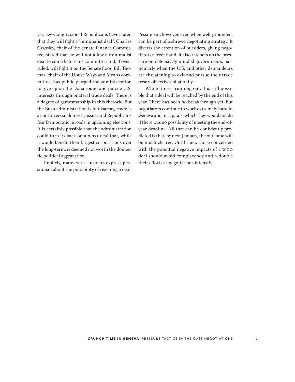ver, key Congressional Republicans have stated that they will fight a "minimalist deal". Charles Grassley, chair of the Senate Finance Committee, stated that he will not allow a minimalist deal to come before his committee and, if overruled, will fight it on the Senate floor. Bill Thomas, chair of the House Ways and Means committee, has publicly urged the administration to give up on the Doha round and pursue U.S. interests through bilateral trade deals. There is a degree of gamesmanship in this rhetoric. But the Bush administration is in disarray, trade is a controversial domestic issue, and Republicans fear Democratic inroads in upcoming elections. It is certainly possible that the administration could turn its back on a WTO deal that, while it would benefit their largest corporations over the long-term, is deemed not worth the domestic political aggravation.

Publicly, many WTO insiders express pessimism about the possibility of reaching a deal. Pessimism, however, even when well-grounded, can be part of a shrewd negotiating strategy. It diverts the attention of outsiders, giving negotiators a freer hand. It also ratchets up the pressure on defensively-minded governments, particularly when the U.S. and other demandeurs are threatening to exit and pursue their trade treaty objectives bilaterally.

While time is running out, it is still possible that a deal will be reached by the end of this year. There has been no breakthrough yet, but negotiators continue to work extremely hard in Geneva and in capitals, which they would not do if there was no possibility of meeting the end-ofyear deadline. All that can be confidently predicted is that, by next January, the outcome will be much clearer. Until then, those concerned with the potential negative impacts of a WTO deal should avoid complacency and redouble their efforts as negotiations intensify.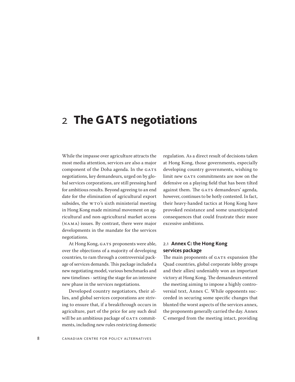## <span id="page-7-0"></span>2 **The GATS negotiations**

While the impasse over agriculture attracts the most media attention, services are also a major component of the Doha agenda. In the GATS negotiations, key demandeurs, urged on by global services corporations, are still pressing hard for ambitious results. Beyond agreeing to an end date for the elimination of agricultural export subsides, the WTO's sixth ministerial meeting in Hong Kong made minimal movement on agricultural and non-agricultural market access (NAMA) issues. By contrast, there were major developments in the mandate for the services negotiations.

At Hong Kong, GATS proponents were able, over the objections of a majority of developing countries, to ram through a controversial package of services demands. This package included a new negotiating model, various benchmarks and new timelines-setting the stage for an intensive new phase in the services negotiations.

Developed country negotiators, their allies, and global services corporations are striving to ensure that, if a breakthrough occurs in agriculture, part of the price for any such deal will be an ambitious package of GATS commitments, including new rules restricting domestic regulation. As a direct result of decisions taken at Hong Kong, those governments, especially developing country governments, wishing to limit new GATS commitments are now on the defensive on a playing field that has been tilted against them. The GATS demandeurs' agenda, however, continues to be hotly contested. In fact, their heavy-handed tactics at Hong Kong have provoked resistance and some unanticipated consequences that could frustrate their more excessive ambitions.

### 2.1 **Annex C: the Hong Kong services package**

The main proponents of GATS expansion (the Quad countries, global corporate lobby groups and their allies) undeniably won an important victory at Hong Kong. The demandeurs entered the meeting aiming to impose a highly controversial text, Annex C. While opponents succeeded in securing some specific changes that blunted the worst aspects of the services annex, the proponents generally carried the day. Annex C emerged from the meeting intact, providing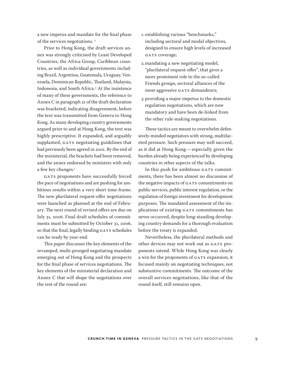a new impetus and mandate for the final phase of the services negotiations. <sup>3</sup>

Prior to Hong Kong, the draft services annex was strongly criticised by Least Developed Countries, the Africa Group, Caribbean countries, as well as individual governments including Brazil, Argentina, Guatemala, Uruguay, Venezuela, Dominican Republic, Thailand, Malaysia, Indonesia, and South Africa.4 At the insistence of many of these governments, the reference to Annex C in paragraph 21 of the draft declaration was bracketed, indicating disagreement, before the text was transmitted from Geneva to Hong Kong. As many developing country governments argued prior to and at Hong Kong, the text was highly prescriptive. It expanded, and arguably supplanted, GATS negotiating guidelines that had previously been agreed in 2001. By the end of the ministerial, the brackets had been removed, and the annex endorsed by ministers with only a few key changes.<sup>5</sup>

GATS proponents have successfully forced the pace of negotiations and are pushing for ambitious results within a very short time-frame. The new plurilateral request-offer negotiations were launched as planned at the end of February. The next round of revised offers are due on July 31, 2006. Final draft schedules of commitments must be submitted by October 31, 2006, so that the final, legally binding GATS schedules can be ready by year-end.

This paper discusses the key elements of the revamped, multi-pronged negotiating mandate emerging out of Hong Kong and the prospects for the final phase of services negotiations. The key elements of the ministerial declaration and Annex C that will shape the negotiations over the rest of the round are:

- 1. establishing various "benchmarks," including sectoral and modal objectives, designed to ensure high levels of increased GATS coverage;
- 2.mandating a new negotiating model, "plurilateral request-offer", that gives a more prominent role to the so-called Friends groups, sectoral alliances of the most aggressive GATS demandeurs;
- 3.providing a major impetus to the domestic regulation negotiations, which are now mandatory and have been de-linked from the other rule-making negotiations.

These tactics are meant to overwhelm defensively-minded negotiators with strong, multifaceted pressure. Such pressure may well succeed, as it did at Hong Kong — especially given the burden already being experienced by developing countries in other aspects of the talks.

In this push for ambitious GATS commitments, there has been almost no discussion of the negative impacts of GATS commitments on public services, public interest regulation, or the regulation of foreign investment for development purposes. The mandated assessment of the implications of existing GATS commitments has never occurred, despite long-standing developing country demands for a thorough evaluation before the treaty is expanded.

Nevertheless, the plurilateral methods and other devices may not work out as GATS proponents intend. While Hong Kong was clearly a win for the proponents of GATS expansion, it focused mainly on negotiating techniques, not substantive commitments. The outcome of the overall services negotiations, like that of the round itself, still remains open.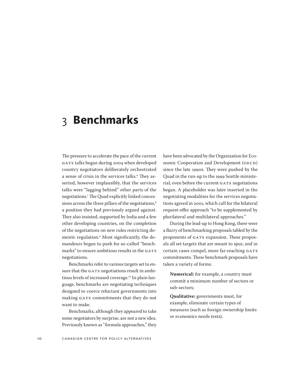## <span id="page-9-0"></span>3 **Benchmarks**

The pressure to accelerate the pace of the current GATS talks began during 2004 when developed country negotiators deliberately orchestrated a sense of crisis in the services talks.<sup>6</sup> They asserted, however implausibly, that the services talks were "lagging behind" other parts of the negotiations.7 The Quad explicitly linked concessions across the three pillars of the negotiations,<sup>8</sup> a position they had previously argued against. They also insisted, supported by India and a few other developing countries, on the completion of the negotiations on new rules restricting domestic regulation.9 Most significantly, the demandeurs began to push for so-called "benchmarks" to ensure ambitious results in the GATS negotiations.

Benchmarks refer to various targets set to ensure that the GATS negotiations result in ambitious levels of increased coverage.10 In plain language, benchmarks are negotiating techniques designed to coerce reluctant governments into making GATS commitments that they do not want to make.

Benchmarks, although they appeared to take some negotiators by surprise, are not a new idea. Previously known as "formula approaches," they have been advocated by the Organization for Economic Cooperation and Development (OECD) since the late 1990s. They were pushed by the Quad in the run-up to the 1999 Seattle ministerial, even before the current GATS negotiations began. A placeholder was later inserted in the negotiating modalities for the services negotiations agreed in 2001, which call for the bilateral request-offer approach "to be supplemented by plurilateral and multilateral approaches."

During the lead-up to Hong Kong, there were a flurry of benchmarking proposals tabled by the proponents of GATS expansion. These proposals all set targets that are meant to spur, and in certain cases compel, more far-reaching GATS commitments. These benchmark proposals have taken a variety of forms:

**Numerical:** for example, a country must commit a minimum number of sectors or sub-sectors;

**Qualitative:** governments must, for example, eliminate certain types of measures (such as foreign ownership limits or economics needs tests);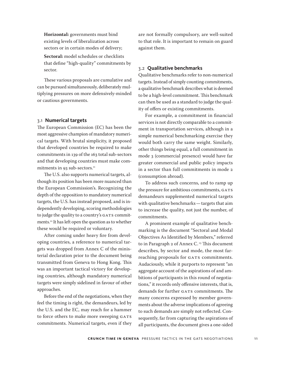**Horizontal:** governments must bind existing levels of liberalization across sectors or in certain modes of delivery;

**Sectoral:** model schedules or checklists that define "high-quality" commitments by sector.

These various proposals are cumulative and can be pursued simultaneously, deliberately multiplying pressures on more defensively-minded or cautious governments.

#### 3.1 **Numerical targets**

The European Commission (EC) has been the most aggressive champion of mandatory numerical targets. With brutal simplicity, it proposed that developed countries be required to make commitments in 139 of the 163 total sub-sectors and that developing countries must make commitments in 93 sub-sectors.<sup>11</sup>

The U.S. also supports numerical targets, although its position has been more nuanced than the European Commission's. Recognizing the depth of the opposition to mandatory numerical targets, the U.S. has instead proposed, and is independently developing, scoring methodologies to judge the quality to a country's GATS commitments.<sup>12</sup> It has left open the question as to whether these would be required or voluntary.

After coming under heavy fire from developing countries, a reference to numerical targets was dropped from Annex C of the ministerial declaration prior to the document being transmitted from Geneva to Hong Kong. This was an important tactical victory for developing countries, although mandatory numerical targets were simply sidelined in favour of other approaches.

Before the end of the negotiations, when they feel the timing is right, the demandeurs, led by the U.S. and the EC, may reach for a hammer to force others to make more sweeping GATS commitments. Numerical targets, even if they

are not formally compulsory, are well-suited to that role. It is important to remain on guard against them.

#### 3.2 **Qualitative benchmarks**

Qualitative benchmarks refer to non-numerical targets. Instead of simply counting commitments, a qualitative benchmark describes what is deemed to be a high-level commitment. This benchmark can then be used as a standard to judge the quality of offers or existing commitments.

For example, a commitment in financial services is not directly comparable to a commitment in transportation services, although in a simple numerical benchmarking exercise they would both carry the same weight. Similarly, other things being equal, a full commitment in mode 3 (commercial presence) would have far greater commercial and public policy impacts in a sector than full commitments in mode 2 (consumption abroad).

To address such concerns, and to ramp up the pressure for ambitious commitments, GATS demandeurs supplemented numerical targets with qualitative benchmarks — targets that aim to increase the quality, not just the number, of commitments.

A prominent example of qualitative benchmarking is the document "Sectoral and Modal Objectives As Identified by Members," referred to in Paragraph 2 of Annex C.<sup>13</sup> This document describes, by sector and mode, the most farreaching proposals for GATS commitments. Audaciously, while it purports to represent "an aggregate account of the aspirations of and ambitions of participants in this round of negotiations," it records only offensive interests, that is, demands for further GATS commitments. The many concerns expressed by member governments about the adverse implications of agreeing to such demands are simply not reflected. Consequently, far from capturing the aspirations of all participants, the document gives a one-sided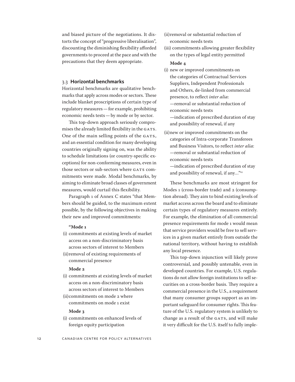and biased picture of the negotiations. It distorts the concept of "progressive liberalisation", discounting the diminishing flexibility afforded governments to proceed at the pace and with the precautions that they deem appropriate.

#### 3.3 **Horizontal benchmarks**

Horizontal benchmarks are qualitative benchmarks that apply across modes or sectors. These include blanket proscriptions of certain type of regulatory measures — for example, prohibiting economic needs tests — by mode or by sector.

This top-down approach seriously compromisesthe already limited flexibility in the GATS. One of the main selling points of the GATS, and an essential condition for many developing countries originally signing on, was the ability to schedule limitations (or country-specific exceptions) for non-conforming measures, even in those sectors or sub-sectors where GATS commitments were made. Modal benchmarks, by aiming to eliminate broad classes of government measures, would curtail this flexibility.

Paragraph 1 of Annex C states "that Members should be guided, to the maximum extent possible, by the following objectives in making their new and improved commitments:

#### **"Mode 1**

- (i) commitments at existing levels of market access on a non-discriminatory basis across sectors of interest to Members
- (ii)removal of existing requirements of commercial presence

#### **Mode 2**

- (i) commitments at existing levels of market access on a non-discriminatory basis across sectors of interest to Members
- (ii)commitments on mode 2 where commitments on mode 1 exist

#### **Mode 3**

(i) commitments on enhanced levels of foreign equity participation

- (ii)removal or substantial reduction of economic needs tests
- (iii) commitments allowing greater flexibility on the types of legal entity permitted

#### **Mode 4**

- (i) new or improved commitments on the categories of Contractual Services Suppliers, Independent Professionals and Others, de-linked from commercial presence, to reflect *inter alia*: —removal or substantial reduction of economic needs tests —indication of prescribed duration of stay
- (ii)new or improved commitments on the categories of Intra-corporate Transferees and Business Visitors, to reflect *inter alia*: —removal or substantial reduction of economic needs tests

and possibility of renewal, if any

—indication of prescribed duration of stay and possibility of renewal, if any…"14

These benchmarks are most stringent for Modes 1 (cross-border trade) and 2 (consumption abroad). They aim to bind existing levels of market access across the board and to eliminate certain types of regulatory measures entirely. For example, the elimination of all commercial presence requirements for mode 1 would mean that service providers would be free to sell services in a given market entirely from outside the national territory, without having to establish any local presence.

This top-down injunction will likely prove controversial, and possibly untenable, even in developed countries. For example, U.S. regulations do not allow foreign institutions to sell securities on a cross-border basis. They require a commercial presence in the U.S., a requirement that many consumer groups support as an important safeguard for consumer rights. This feature of the U.S. regulatory system is unlikely to change as a result of the GATS, and will make it very difficult for the U.S. itself to fully imple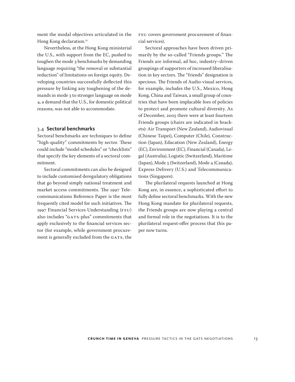ment the modal objectives articulated in the Hong Kong declaration.<sup>15</sup>

Nevertheless, at the Hong Kong ministerial the U.S., with support from the EC, pushed to toughen the mode 3 benchmarks by demanding language requiring "the removal or substantial reduction" of limitations on foreign equity. Developing countries successfully deflected this pressure by linking any toughening of the demands in mode 3 to stronger language on mode 4, a demand that the U.S., for domestic political reasons, was not able to accommodate.

#### 3.4 **Sectoral benchmarks**

Sectoral benchmarks are techniques to define "high-quality" commitments by sector. These could include "model schedules" or "checklists" that specify the key elements of a sectoral commitment.

Sectoral commitments can also be designed to include customised deregulatory obligations that go beyond simply national treatment and market access commitments. The 1997 Telecommunications Reference Paper is the most frequently cited model for such initiatives. The 1997 Financial Services Understanding (FSU) also includes "GATS-plus" commitments that apply exclusively to the financial services sector (for example, while government procurement is generally excluded from the GATS, the

FSU covers government procurement of financial services).

Sectoral approaches have been driven primarily by the so-called "Friends groups." The Friends are informal, ad hoc, industry–driven groupings of supporters of increased liberalisation in key sectors. The "friends" designation is specious. The Friends of Audio-visual services, for example, includes the U.S., Mexico, Hong Kong, China and Taiwan, a small group of countries that have been implacable foes of policies to protect and promote cultural diversity. As of December, 2005 there were at least fourteen Friends groups (chairs are indicated in brackets): Air Transport (New Zealand), Audiovisual (Chinese Taipei), Computer (Chile), Construction (Japan), Education (New Zealand), Energy (EC), Environment (EC), Financial (Canada), Legal (Australia), Logistic (Switzerland), Maritime (Japan), Mode 3 (Switzerland), Mode 4 (Canada), Express Delivery (U.S.) and Telecommunications (Singapore).

The plurilateral requests launched at Hong Kong are, in essence, a sophisticated effort to fully define sectoral benchmarks. With the new Hong Kong mandate for plurilateral requests, the Friends groups are now playing a central and formal role in the negotiations. It is to the plurilateral request-offer process that this paper now turns.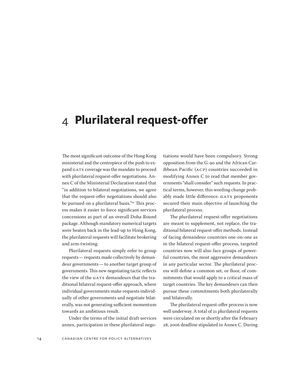## <span id="page-13-0"></span>4 **Plurilateral request-offer**

The most significant outcome of the Hong Kong ministerial and the centrepiece of the push to expand GATS coverage was the mandate to proceed with plurilateral request-offer negotiations. Annex C of the Ministerial Declaration stated that "in addition to bilateral negotiations, we agree that the request-offer negotiations should also be pursued on a plurilateral basis."<sup>16</sup> This process makes it easier to force significant services concessions as part of an overall Doha Round package. Although mandatory numerical targets were beaten back in the lead-up to Hong Kong, the plurilateral requests will facilitate brokering and arm-twisting.

Plurilateral requests simply refer to group requests — requests made collectively by demandeur governments — to another target group of governments. This new negotiating tactic reflects the view of the GATS demandeurs that the traditional bilateral request-offer approach, where individual governments make requests individually of other governments and negotiate bilaterally, was not generating sufficient momentum towards an ambitious result.

Under the terms of the initial draft services annex, participation in these plurilateral negotiations would have been compulsory. Strong opposition from the G-90 and the African Caribbean Pacific (ACP) countries succeeded in modifying Annex C to read that member governments "shall consider" such requests. In practical terms, however, this wording change probably made little difference. GATS proponents secured their main objective of launching the plurilateral process.

The plurilateral request-offer negotiations are meant to supplement, not replace, the traditional bilateral request-offer methods. Instead of facing demandeur countries one-on-one as in the bilateral request-offer process, targeted countries now will also face groups of powerful countries, the most aggressive demandeurs in any particular sector. The plurilateral process will define a common set, or floor, of commitments that would apply to a critical mass of target countries. The key demandeurs can then pursue these commitments both plurilaterally and bilaterally.

The plurilateral request-offer process is now well underway. A total of 21 plurilateral requests were circulated on or shortly after the February 28, 2006 deadline stipulated in Annex C. During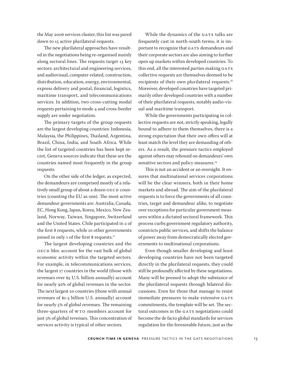the May 2006 services cluster, this list was pared down to 15 active plurilateral requests.

The new plurilateral approaches have resulted in the negotiations being re-organised mainly along sectoral lines. The requests target 13 key sectors: architectural and engineering services, and audiovisual, computer-related, construction, distribution, education, energy, environmental, express delivery and postal, financial, logistics, maritime transport, and telecommunications services. In addition, two cross-cutting modal requests pertaining to mode 4 and cross-border supply are under negotiation.

The primary targets of the group requests are the largest developing countries: Indonesia, Malaysia, the Philippines, Thailand, Argentina, Brazil, China, India, and South Africa. While the list of targeted countries has been kept secret, Geneva sources indicate that these are the countries named most frequently in the group requests.

On the other side of the ledger, as expected, the demandeurs are comprised mostly of a relatively small group of about a dozen OECD countries (counting the EU as one). The most active demandeur governments are: Australia, Canada, EC, Hong Kong, Japan, Korea, Mexico, New Zealand, Norway, Taiwan, Singapore, Switzerland and the United States. Chile participated in 2 of the first 8 requests, while 10 other governments joined in only 1 of the first 8 requests.<sup>17</sup>

The largest developing countries and the OECD bloc account for the vast bulk of global economic activity within the targeted sectors. For example, in telecommunications services, the largest 17 countries in the world (those with revenues over \$5 U.S. billion annually) account for nearly 92% of global revenues in the sector. The next largest 20 countries (those with annual revenues of \$1-5 billion U.S. annually) account for nearly 5% of global revenues. The remaining three-quarters of WTO members account for just 3% of global revenues. This concentration of services activity is typical of other sectors.

While the dynamics of the GATS talks are frequently cast in north-south terms, it is important to recognize that GATS demandeurs and their corporate sectors are also aiming to further open up markets within developed countries. To this end, all the interested parties making GATS collective requests are themselves deemed to be recipients of their own plurilateral requests.<sup>18</sup> Moreover, developed countries have targeted primarily other developed countries with a number of their plurilateral requests, notably audio-visual and maritime transport.

While the governments participating in collective requests are not, strictly speaking, legally bound to adhere to them themselves, there is a strong expectation that their own offers will at least match the level they are demanding of others. As a result, the pressure tactics employed against others may rebound on demandeurs' own sensitive sectors and policy measures.<sup>19</sup>

This is not an accident or an oversight. It ensures that multinational services corporations will be the clear winners, both in their home markets and abroad. The aim of the plurilateral requests is to force the governments of all countries, target and demandeur alike, to negotiate over exceptions for particular government measures within a dictated sectoral framework. This process curbs government regulatory authority, constricts public services, and shifts the balance of power away from democratically elected governments to multinational corporations.

Even though smaller developing and least developing countries have not been targeted directly in the plurilateral requests, they could still be profoundly affected by these negotiations. Many will be pressed to adopt the substance of the plurilateral requests through bilateral discussions. Even for those that manage to resist immediate pressures to make extensive GATS commitments, the template will be set. The sectoral outcomes in the GATS negotiations could become the de facto global standards for services regulation for the foreseeable future, just as the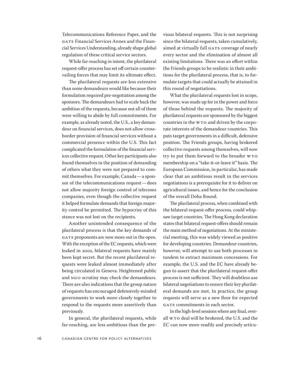Telecommunications Reference Paper, and the GATS Financial Services Annex and the Financial Services Understanding, already shape global regulation of these critical service sectors.

While far-reaching in intent, the plurilateral request-offer process has set off certain countervailing forces that may limit its ultimate effect.

The plurilateral requests are less extensive than some demandeurs would like because their formulation required pre-negotiation among the sponsors. The demandeurs had to scale back the ambition of the requests, because not all of them were willing to abide by full commitments. For example, as already noted, the U.S., a key demandeur on financial services, does not allow crossborder provision of financial services without a commercial presence within the U.S. This fact complicated the formulation of the financial services collective request. Other key participants also found themselves in the position of demanding of others what they were not prepared to commit themselves. For example, Canada — a sponsor of the telecommunications request — does not allow majority foreign control of telecoms companies, even though the collective request it helped formulate demands that foreign majority control be permitted. The hypocrisy of this stance was not lost on the recipients.

Another unintended consequence of the plurilateral process is that the key demands of GATS proponents are now more out in the open. With the exception of the EC requests, which were leaked in 2002, bilateral requests have mainly been kept secret. But the recent plurilateral requests were leaked almost immediately after being circulated in Geneva. Heightened public and NGO scrutiny may check the demandeurs. There are also indications that the group nature of requests has encouraged defensively-minded governments to work more closely together to respond to the requests more assertively than previously.

In general, the plurilateral requests, while far-reaching, are less ambitious than the previous bilateral requests. This is not surprising since the bilateral requests, taken cumulatively, aimed at virtually full GATS coverage of nearly every sector and the elimination of almost all existing limitations. There was an effort within the Friends groups to be realistic in their ambitions for the plurilateral process, that is, to formulate targets that could actually be attained in this round of negotiations.

What the plurilateral requests lost in scope, however, was made up for in the power and force of those behind the requests. The majority of plurilateral requests are sponsored by the biggest countries in the WTO and driven by the corporate interests of the demandeur countries. This puts target governments in a difficult, defensive position. The Friends groups, having brokered collective requests among themselves, will now try to put them forward to the broader WTO membership on a "take-it-or-leave it" basis. The European Commission, in particular, has made clear that an ambitious result in the services negotiations is a prerequisite for it to deliver on agricultural issues, and hence for the conclusion of the overall Doha Round.

The plurilateral process, when combined with the bilateral request-offer process, could whipsaw target countries. The Hong Kong declaration states that bilateral request-offers should remain the main method of negotiations. At the ministerial meeting, this was widely viewed as positive for developing countries. Demandeur countries, however, will attempt to use both processes in tandem to extract maximum concessions. For example, the U.S. and the EC have already begun to assert that the plurilateral request-offer process is not sufficient. They will doubtless use bilateral negotiations to ensure their key plurilateral demands are met. In practice, the group requests will serve as a new floor for expected GATS commitments in each sector.

In the high-level sessions where any final, overall WTO deal will be brokered, the U.S. and the EC can now more readily and precisely articu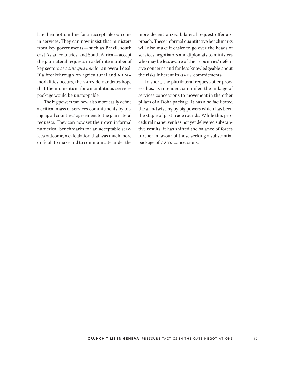late their bottom-line for an acceptable outcome in services. They can now insist that ministers from key governments — such as Brazil, south east Asian countries, and South Africa — accept the plurilateral requests in a definite number of key sectors as a *sine qua non* for an overall deal. If a breakthrough on agricultural and NAMA modalities occurs, the GATS demandeurs hope that the momentum for an ambitious services package would be unstoppable.

The big powers can now also more easily define a critical mass of services commitments by toting up all countries' agreement to the plurilateral requests. They can now set their own informal numerical benchmarks for an acceptable services outcome, a calculation that was much more difficult to make and to communicate under the more decentralized bilateral request-offer approach. These informal quantitative benchmarks will also make it easier to go over the heads of services negotiators and diplomats to ministers who may be less aware of their countries' defensive concerns and far less knowledgeable about the risks inherent in GATS commitments.

In short, the plurilateral request-offer process has, as intended, simplified the linkage of services concessions to movement in the other pillars of a Doha package. It has also facilitated the arm-twisting by big powers which has been the staple of past trade rounds. While this procedural maneuver has not yet delivered substantive results, it has shifted the balance of forces further in favour of those seeking a substantial package of GATS concessions.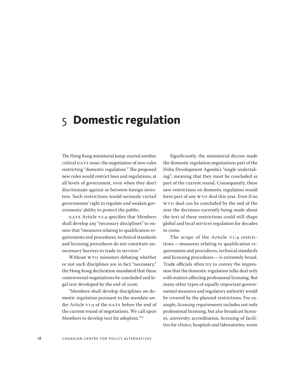## <span id="page-17-0"></span>5 **Domestic regulation**

The Hong Kong ministerial jump-started another critical GATS issue: the negotiation of new rules restricting "domestic regulation." The proposed new rules would restrict laws and regulations, at all levels of government, even when they don't discriminate against or between foreign investors. Such restrictions would seriously curtail governments' right to regulate and weaken governments' ability to protect the public.

GATS Article VI:4 specifies that Members shall develop any "necessary disciplines" to ensure that "measures relating to qualification requirements and procedures, technical standards and licensing procedures do not constitute unnecessary barriers to trade in services."

Without WTO ministers debating whether or not such disciplines are in fact "necessary," the Hong Kong declaration mandated that these controversial negotiations be concluded and legal text developed by the end of 2006:

"Members shall develop disciplines on domestic regulation pursuant to the mandate under Article VI:4 of the GATS before the end of the current round of negotiations. We call upon Members to develop text for adoption."20

Significantly, the ministerial decree made the domestic regulation negotiations part of the Doha Development Agenda's "single undertaking", meaning that they must be concluded as part of the current round. Consequently, these new restrictions on domestic regulation would form part of any WTO deal this year. Even if no WTO deal can be concluded by the end of the year the decisions currently being made about the text of these restrictions could still shape global and local services regulation for decades to come.

The scope of the Article VI:4 restrictions — measures relating to qualification requirements and procedures, technical standards and licensing procedures — is extremely broad. Trade officials often try to convey the impression that the domestic regulation talks deal only with matters affecting professional licensing. But many other types of equally important governmental measures and regulatory authority would be covered by the planned restrictions. For example, *licensing requirements* includes not only professional licensing, but also broadcast licenses, university accreditation, licensing of facilities for clinics, hospitals and laboratories, waste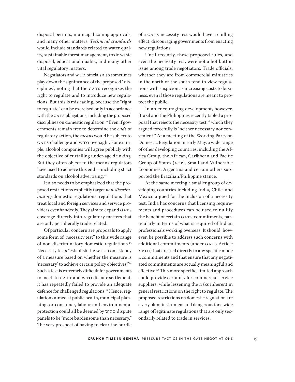disposal permits, municipal zoning approvals, and many other matters. *Technical standards*  would include standards related to water quality, sustainable forest management, toxic waste disposal, educational quality, and many other vital regulatory matters.

Negotiators and WTO officials also sometimes play down the significance of the proposed "disciplines", noting that the GATS recognizes the right to regulate and to introduce new regulations. But this is misleading, because the "right to regulate" can be exercised only in accordance with the GATS obligations, including the proposed disciplines on domestic regulation.<sup>21</sup> Even if governments remain free to determine the *ends* of regulatory action, the *means* would be subject to GATS challenge and WTO oversight. For example, alcohol companies will agree publicly with the objective of curtailing under-age drinking. But they often object to the means regulators have used to achieve this end — including strict standards on alcohol advertising.<sup>22</sup>

It also needs to be emphasized that the proposed restrictions explicitly target *non-discriminatory* domestic regulations, regulations that treat local and foreign services and service providers evenhandedly. They aim to expand GATS coverage directly into regulatory matters that are only peripherally trade-related.

Of particular concern are proposals to apply some form of "necessity test" to this wide range of non-discriminatory domestic regulations.<sup>23</sup> Necessity tests "establish the WTO consistency of a measure based on whether the measure is 'necessary' to achieve certain policy objectives."24 Such a test is extremely difficult for governments to meet. In GATT and WTO dispute settlement, it has repeatedly failed to provide an adequate defence for challenged regulations.<sup>25</sup> Hence, regulations aimed at public health, municipal planning, or consumer, labour and environmental protection could all be deemed by WTO dispute panels to be "more burdensome than necessary." The very prospect of having to clear the hurdle

of a GATS necessity test would have a chilling effect, discouraging governments from enacting new regulations.

Until recently, these proposed rules, and even the necessity test, were not a hot-button issue among trade negotiators. Trade officials, whether they are from commercial ministries in the north or the south tend to view regulations with suspicion as increasing costs to business, even if those regulations are meant to protect the public.

In an encouraging development, however, Brazil and the Philippines recently tabled a proposal that rejects the necessity test,<sup>26</sup> which they argued forcefully is "neither necessary nor convenient." At a meeting of the Working Party on Domestic Regulation in early May, a wide range of other developing countries, including the Africa Group, the African, Caribbean and Pacific Group of States (ACP), Small and Vulnerable Economies, Argentina and certain others supported the Brazilian/Philippine stance.

At the same meeting a smaller group of developing countries including India, Chile, and Mexico argued for the inclusion of a necessity test. India has concerns that licensing requirements and procedures can be used to nullify the benefit of certain GATS commitments, particularly in terms of what is required of Indian professionals working overseas. It should, however, be possible to address such concerns with additional commitments (under GATS Article XVIII) that are tied directly to any specific mode 4 commitments and that ensure that any negotiated commitments are actually meaningful and effective.<sup>27</sup> This more specific, limited approach could provide certainty for commercial service suppliers, while lessening the risks inherent in general restrictions on the right to regulate. The proposed restrictions on domestic regulation are a very blunt instrument and dangerous for a wide range of legitimate regulations that are only secondarily related to trade in services.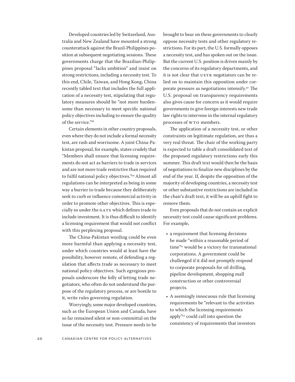Developed countries led by Switzerland, Australia and New Zealand have mounted a strong counterattack against the Brazil-Philippines position at subsequent negotiating sessions. These governments charge that the Brazilian-Philippines proposal "lacks ambition" and insist on strong restrictions, including a necessity test. To this end, Chile, Taiwan, and Hong Kong, China recently tabled text that includes the full application of a necessity test, stipulating that regulatory measures should be "not more burdensome than necessary to meet specific national policy objectives including to ensure the quality of the service."28

Certain elements in other country proposals, even where they do not include a formal necessity test, are rash and worrisome. A joint China-Pakistan proposal, for example, states crudely that "Members shall ensure that licensing requirements do not act as barriers to trade in services and are not more trade restrictive than required to fulfil national policy objectives."<sup>29</sup> Almost all regulations can be interpreted as being in some way a barrier to trade because they deliberately seek to curb or influence commercial activity in order to promote other objectives. This is especially so under the GATS which defines trade to include investment. It is thus difficult to identify a licensing requirement that would not conflict with this perplexing proposal.

The China-Pakistan wording could be even more harmful than applying a necessity test, under which countries would at least have the possibility, however remote, of defending a regulation that affects trade as necessary to meet national policy objectives. Such egregious proposals underscore the folly of letting trade negotiators, who often do not understand the purpose of the regulatory process, or are hostile to it, write rules governing regulation.

Worryingly, some major developed countries, such as the European Union and Canada, have so far remained silent or non-committal on the issue of the necessity test. Pressure needs to be brought to bear on these governments to clearly oppose necessity tests and other regulatory restrictions. For its part, the U.S. formally opposes a necessity test, and has spoken out on the issue. But the current U.S. position is driven mainly by the concerns of its regulatory departments, and it is not clear that USTR negotiators can be relied on to maintain this opposition under corporate pressure as negotiations intensify.30 The U.S. proposal on transparency requirements also gives cause for concern as it would require governments to give foreign interests new trade law rights to intervene in the internal regulatory processes of WTO members.

The application of a necessity test, or other constraints on legitimate regulation, are thus a very real threat. The chair of the working party is expected to table a draft consolidated text of the proposed regulatory restrictions early this summer. This draft text would then be the basis of negotiationsto finalize new disciplines by the end of the year. If, despite the opposition of the majority of developing countries, a necessity test or other substantive restrictions are included in the chair's draft text, it will be an uphill fight to remove them.

Even proposals that do not contain an explicit necessity test could cause significant problems. For example,

- a requirement that licensing decisions be made "within a reasonable period of time"31 would be a victory for transnational corporations. A government could be challenged if it did not promptly respond to corporate proposals for oil drilling, pipeline development, shopping mall construction or other controversial projects.
- A seemingly innocuous rule that licensing requirements be "relevant to the activities to which the licensing requirements apply"32 could call into question the consistency of requirements that investors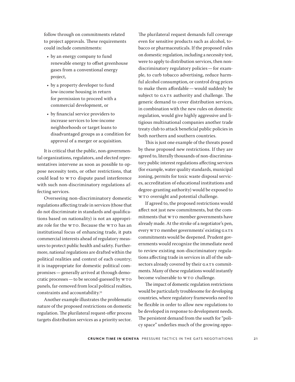follow through on commitments related to project approvals. These requirements could include commitments:

- by an energy company to fund renewable energy to offset greenhouse gases from a conventional energy project,
- by a property developer to fund low-income housing in return for permission to proceed with a commercial development, or
- by financial service providers to increase services to low-income neighborhoods or target loans to disadvantaged groups as a condition for approval of a merger or acquisition.

It is critical that the public, non-governmental organizations, regulators, and elected representatives intervene as soon as possible to oppose necessity tests, or other restrictions, that could lead to WTO dispute panel interference with such non-discriminatory regulations affecting services.

Overseeing non-discriminatory domestic regulations affecting trade in services(those that do not discriminate in standards and qualifications based on nationality) is not an appropriate role for the WTO. Because the WTO has an institutional focus of enhancing trade, it puts commercial interests ahead of regulatory measuresto protect public health and safety. Furthermore, national regulations are drafted within the political realities and context of each country; it is inappropriate for domestic political compromises — generally arrived at through democratic processes — to be second-guessed by WTO panels, far-removed from local political realties, constraints and accountability.<sup>33</sup>

Another example illustrates the problematic nature of the proposed restrictions on domestic regulation. The plurilateral request-offer process targets distribution services as a priority sector.

The plurilateral request demands full coverage even for sensitive products such as alcohol, tobacco or pharmaceuticals. If the proposed rules on domestic regulation, including a necessity test, were to apply to distribution services, then nondiscriminatory regulatory policies — for example, to curb tobacco advertising, reduce harmful alcohol consumption, or control drug prices to make them affordable — would suddenly be subject to GATS authority and challenge. The generic demand to cover distribution services, in combination with the new rules on domestic regulation, would give highly aggressive and litigious multinational companies another trade treaty club to attack beneficial public policies in both northern and southern countries.

This is just one example of the threats posed by these proposed new restrictions. If they are agreed to, literally thousands of non-discriminatory public interest regulations affecting services (for example, water quality standards, municipal zoning, permits for toxic waste disposal services, accreditation of educational institutions and degree-granting authority) would be exposed to WTO oversight and potential challenge.

If agreed to, the proposed restrictions would affect not just new commitments, but the commitments that WTO member governments have already made. At the stroke of a negotiator's pen, every WTO member governments' existing GATS commitments would be deepened. Prudent governments would recognize the immediate need to review existing non-discriminatory regulations affecting trade in services in all of the subsectors already covered by their GATS commitments. Many of these regulations would instantly become vulnerable to WTO challenge.

The impact of domestic regulation restrictions would be particularly troublesome for developing countries, where regulatory frameworks need to be flexible in order to allow new regulations to be developed in response to development needs. The persistent demand from the south for "policy space" underlies much of the growing oppo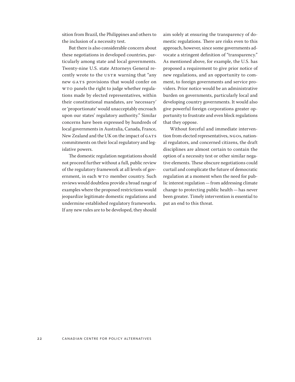sition from Brazil, the Philippines and others to the inclusion of a necessity test.

But there is also considerable concern about these negotiations in developed countries, particularly among state and local governments. Twenty-nine U.S. state Attorneys General recently wrote to the USTR warning that "any new GATS provisions that would confer on WTO panels the right to judge whether regulations made by elected representatives, within their constitutional mandates, are 'necessary' or 'proportionate' would unacceptably encroach upon our states' regulatory authority." Similar concerns have been expressed by hundreds of local governments in Australia, Canada, France, New Zealand and the UK on the impact of GATS commitments on their local regulatory and legislative powers.

The domestic regulation negotiations should not proceed further without a full, public review of the regulatory framework at all levels of government, in each WTO member country. Such reviews would doubtless provide a broad range of examples where the proposed restrictions would jeopardize legitimate domestic regulations and undermine established regulatory frameworks. If any new rules are to be developed, they should aim solely at ensuring the transparency of domestic regulations. There are risks even to this approach, however, since some governments advocate a stringent definition of "transparency." As mentioned above, for example, the U.S. has proposed a requirement to give prior notice of new regulations, and an opportunity to comment, to foreign governments and service providers. Prior notice would be an administrative burden on governments, particularly local and developing country governments. It would also give powerful foreign corporations greater opportunity to frustrate and even block regulations that they oppose.

Without forceful and immediate intervention from elected representatives, NGOs, national regulators, and concerned citizens, the draft disciplines are almost certain to contain the option of a necessity test or other similar negative elements. These obscure negotiations could curtail and complicate the future of democratic regulation at a moment when the need for public interest regulation - from addressing climate change to protecting public health — has never been greater. Timely intervention is essential to put an end to this threat.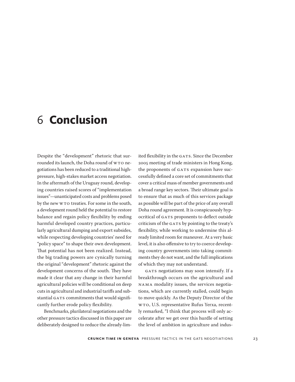## <span id="page-22-0"></span>6 **Conclusion**

Despite the "development" rhetoric that surrounded its launch, the Doha round of WTO negotiations has been reduced to a traditional highpressure, high-stakes market access negotiation. In the aftermath of the Uruguay round, developing countries raised scores of "implementation issues"—unanticipated costs and problems posed by the new WTO treaties. For some in the south, a development round held the potential to restore balance and regain policy flexibility by ending harmful developed country practices, particularly agricultural dumping and export subsides, while respecting developing countries' need for "policy space" to shape their own development. That potential has not been realized. Instead, the big trading powers are cynically turning the original "development" rhetoric against the development concerns of the south. They have made it clear that any change in their harmful agricultural policies will be conditional on deep cuts in agricultural and industrial tariffs and substantial GATS commitments that would significantly further erode policy flexibility.

Benchmarks, plurilateral negotiations and the other pressure tactics discussed in this paper are deliberately designed to reduce the already-limited flexibility in the GATS. Since the December 2005 meeting of trade ministers in Hong Kong, the proponents of GATS expansion have successfully defined a core set of commitments that cover a critical mass of member governments and a broad range key sectors. Their ultimate goal is to ensure that as much of this services package as possible will be part of the price of any overall Doha round agreement. It is conspicuously hypocritical of GATS proponents to deflect outside criticism of the GATS by pointing to the treaty's flexibility, while working to undermine this already limited room for maneuver. At a very basic level, it is also offensive to try to coerce developing country governments into taking commitments they do not want, and the full implications of which they may not understand.

GATS negotiations may soon intensify. If a breakthrough occurs on the agricultural and NAMA modality issues, the services negotiations, which are currently stalled, could begin to move quickly. As the Deputy Director of the WTO, U.S. representative Rufus Yerxa, recently remarked, "I think that process will only accelerate after we get over this hurdle of setting the level of ambition in agriculture and indus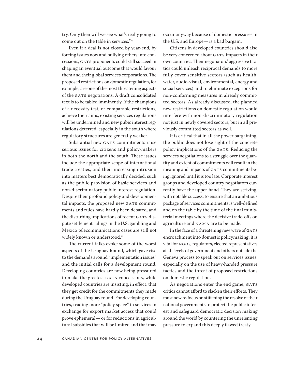try. Only then will we see what's really going to come out on the table in services."34

Even if a deal is not closed by year-end, by forcing issues now and bullying others into concessions, GATS proponents could still succeed in shaping an eventual outcome that would favour them and their global services corporations. The proposed restrictions on domestic regulation, for example, are one of the most threatening aspects of the GATS negotiations. A draft consolidated text is to be tabled imminently. If the champions of a necessity test, or comparable restrictions, achieve their aims, existing services regulations will be undermined and new pubic interest regulations deterred, especially in the south where regulatory structures are generally weaker.

Substantial new GATS commitments raise serious issues for citizens and policy-makers in both the north and the south. These issues include the appropriate scope of international trade treaties, and their increasing intrusion into matters best democratically decided, such as the public provision of basic services and non-discriminatory public interest regulation. Despite their profound policy and developmental impacts, the proposed new GATS commitments and rules have hardly been debated, and the disturbing implications of recent GATS dispute settlement rulings in the U.S. gambling and Mexico telecommunications cases are still not widely known or understood.<sup>35</sup>

The current talks evoke some of the worst aspects of the Uruguay Round, which gave rise to the demands around "implementation issues" and the initial calls for a development round. Developing countries are now being pressured to make the greatest GATS concessions, while developed countries are insisting, in effect, that they get credit for the commitments they made during the Uruguay round. For developing countries, trading more "policy space" in services in exchange for export market access that could prove ephemeral — or for reductions in agricultural subsidies that will be limited and that may occur anyway because of domestic pressures in the U.S. and Europe — is a bad bargain.

Citizens in developed countries should also be very concerned about GATS impacts in their own countries. Their negotiators' aggressive tactics could unleash reciprocal demands to more fully cover sensitive sectors (such as health, water, audio-visual, environmental, energy and social services) and to eliminate exceptions for non-conforming measures in already committed sectors. As already discussed, the planned new restrictions on domestic regulation would interfere with non-discriminatory regulation not just in newly covered sectors, but in all previously committed sectors as well.

It is critical that in all the power bargaining, the public does not lose sight of the concrete policy implications of the GATS. Reducing the services negotiations to a struggle over the quantity and extent of commitments will result in the meaning and impacts of GATS commitments being ignored until it is too late. Corporate interest groups and developed country negotiators currently have the upper hand. They are striving, with notable success, to ensure that an ambitious package of services commitments is well-defined and on the table by the time of the final ministerial meetings where the decisive trade-offs on agriculture and NAMA are to be made.

In the face of a threatening new wave of GATS encroachment into domestic policymaking, it is vital for NGOs, regulators, elected representatives at all levels of government and others outside the Geneva process to speak out on services issues, especially on the use of heavy-handed pressure tactics and the threat of proposed restrictions on domestic regulation.

As negotiations enter the end game, GATS critics cannot afford to slacken their efforts.They must now re-focus on stiffening the resolve of their national governments to protect the public interest and safeguard democratic decision making around the world by countering the unrelenting pressure to expand this deeply flawed treaty.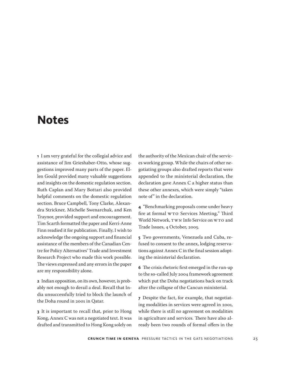## <span id="page-24-0"></span>**Notes**

**1** I am very grateful for the collegial advice and assistance of Jim Grieshaber-Otto, whose suggestions improved many parts of the paper. Ellen Gould provided many valuable suggestions and insights on the domestic regulation section. Ruth Caplan and Mary Bottari also provided helpful comments on the domestic regulation section. Bruce Campbell, Tony Clarke, Alexandra Strickner, Michelle Swenarchuk, and Ken Traynor, provided support and encouragement. Tim Scarth formatted the paper and Kerri-Anne Finn readied it for publication. Finally, I wish to acknowledge the ongoing support and financial assistance of the members of the Canadian Centre for Policy Alternatives' Trade and Investment Research Project who made this work possible. The views expressed and any errors in the paper are my responsibility alone.

**2** Indian opposition, on its own, however, is probably not enough to derail a deal. Recall that India unsuccessfully tried to block the launch of the Doha round in 2001 in Qatar.

**3** It is important to recall that, prior to Hong Kong, Annex C was not a negotiated text. It was drafted and transmitted to Hong Kong solely on

the authority of the Mexican chair of the services working group. While the chairs of other negotiating groups also drafted reports that were appended to the ministerial declaration, the declaration gave Annex C a higher status than these other annexes, which were simply "taken note of" in the declaration.

**4** "Benchmarking proposals come under heavy fire at formal WTO Services Meeting," Third World Network, TWN Info Service on WTO and Trade Issues, 4 October, 2005.

**5** Two governments, Venezuela and Cuba, refused to consent to the annex, lodging reservations against Annex C in the final session adopting the ministerial declaration.

**6** The crisis rhetoric first emerged in the run-up to the so-called July 2004 framework agreement which put the Doha negotiations back on track after the collapse of the Cancun ministerial.

**7** Despite the fact, for example, that negotiating modalities in services were agreed in 2001, while there is still no agreement on modalities in agriculture and services. There have also already been two rounds of formal offers in the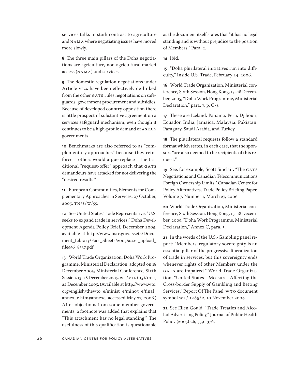services talks in stark contrast to agriculture and NAMA where negotiating issues have moved more slowly.

**8** The three main pillars of the Doha negotiations are agriculture, non-agricultural market access (NAMA) and services.

**9** The domestic regulation negotiations under Article VI.4 have been effectively de-linked from the other GATS rules negotiations on safeguards, government procurement and subsidies. Because of developed country opposition there is little prospect of substantive agreement on a services safeguard mechanism, even though it continuesto be a high-profile demand of ASEAN governments.

**10** Benchmarks are also referred to as "complementary approaches" because they reinforce — others would argue replace — the traditional "request-offer" approach that GATS demandeurs have attacked for not delivering the "desired results."

**11** European Communities, Elements for Complementary Approaches in Services, 27 October, 2005. TN/S/W/55.

**12** See United States Trade Representative, "U.S. seeks to expand trade in services," Doha Development Agenda Policy Brief, December 2005. available at [http://www.ustr.gov/assets/Docu](http://www.ustr.gov/assets/Document_Library/Fact_Sheets/2005/asset_upload_file556_8537.pdf)[ment\\_Library/Fact\\_Sheets/2005/asset\\_upload\\_](http://www.ustr.gov/assets/Document_Library/Fact_Sheets/2005/asset_upload_file556_8537.pdf) [file556\\_8537.pdf](http://www.ustr.gov/assets/Document_Library/Fact_Sheets/2005/asset_upload_file556_8537.pdf).

**13** World Trade Organization, Doha Work Programme, Ministerial Declaration, adopted on 18 December 2005, Ministerial Conference, Sixth Session, 13–18 December 2005, WT/MIN(05)/DEC, 22 December 2005. (Available at [http://www.wto.](http://www.wto.org/english/thewto_e/minist_e/min05_e/final_annex_e.htm#annexc) [org/english/thewto\\_e/minist\\_e/min05\\_e/final\\_](http://www.wto.org/english/thewto_e/minist_e/min05_e/final_annex_e.htm#annexc) [annex\\_e.htm#annexc](http://www.wto.org/english/thewto_e/minist_e/min05_e/final_annex_e.htm#annexc); accessed May 27, 2006.) After objections from some member governments, a footnote was added that explains that "This attachment has no legal standing." The usefulness of this qualification is questionable as the document itself states that "it has no legal standing and is without prejudice to the position of Members." Para. 2.

**14** Ibid.

**15** "Doha plurilateral initiatives run into difficulty," Inside U.S. Trade, February 24, 2006.

**16** World Trade Organization, Ministerial conference, Sixth Session, Hong Kong,13–18 December, 2005, "Doha Work Programme, Ministerial Declaration," para. 7, p. C-3.

**17** These are Iceland, Panama, Peru, Djibouti, Ecuador, India, Jamaica, Malaysia, Pakistan, Paraguay, Saudi Arabia, and Turkey.

**18** The plurilateral requests follow a standard format which states, in each case, that the sponsors "are also deemed to be recipients of this request."

**19** See, for example, Scott Sinclair, "The GATS Negotiations and Canadian Telecommunications Foreign Ownership Limits," Canadian Centre for Policy Alternatives, Trade Policy Briefing Paper, Volume 7, Number 1, March 27, 2006.

**20** World Trade Organization, Ministerial conference, Sixth Session, Hong Kong,13–18 December, 2005, "Doha Work Programme, Ministerial Declaration," Annex C, para. 5.

**21** In the words of the U.S.-Gambling panel report: "Members' regulatory sovereignty is an essential pillar of the progressive liberalization of trade in services, but this sovereignty ends whenever rights of other Members under the GATS are impaired." World Trade Organization, "United States—Measures Affecting the Cross-border Supply of Gambling and Betting Services," Report Of The Panel, WTO document symbol WT/D285/R, 10 November 2004.

**22** See Ellen Gould, "Trade Treaties and Alcohol Advertising Policy," Journal of Public Health Policy (2005) 26, 359–376.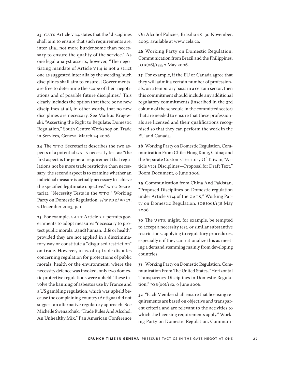23 GATS Article VI:4 states that the "disciplines shall aim to ensure that such requirements are, inter alia...not more burdensome than necessary to ensure the quality of the service." As one legal analyst asserts, however, "The negotiating mandate of Article VI:4 is not a strict one as suggested inter alia by the wording 'such disciplines shall aim to ensure'. [Governments] are free to determine the scope of their negotiations and of possible future disciplines." This clearly includes the option that there be no new disciplines at all, in other words, that no new disciplines are necessary. See Markus Krajewski, "Asserting the Right to Regulate: Domestic Regulation," South Centre Workshop on Trade in Services, Geneva. March 24 2006.

**24** The WTO Secretariat describes the two aspects of a potential GATS necessity test as: "the first aspect is the general requirement that regulations not be more trade restrictive than necessary; the second aspect is to examine whether an individual measure is actually necessary to achieve the specified legitimate objective." WTO Secretariat, "Necessity Tests in the WTO," Working Party on Domestic Regulation, S/WPDR/W/27, 2 December 2003, p. 1.

**25** For example, GATT Article XX permits governments to adopt measures "necessary to protect public morals…(and) human…life or health" provided they are not applied in a discriminatory way or constitute a "disguised restriction" on trade. However, in 12 of 14 trade disputes concerning regulation for protections of public morals, health or the environment, where the necessity defence was invoked, only two domestic protective regulations were upheld. These involve the banning of asbestos use by France and a US gambling regulation, which was upheld because the complaining country (Antigua) did not suggest an alternative regulatory approach. See Michelle Swenarchuk,"Trade Rules And Alcohol: An Unhealthy Mix," Pan American Conference

On Alcohol Policies, Brasilia 28–30 November, 2005. available at <www.cela.ca>.

**26** Working Party on Domestic Regulation, Communication from Brazil and the Philippines, JOB(06)/133, 2 May 2006.

**27** For example, if the EU or Canada agree that they will admit a certain number of professionals, on a temporary basis in a certain sector, then this commitment should include any additional regulatory commitments (inscribed in the 3rd column of the schedule in the committed sector) that are needed to ensure that these professionals are licensed and their qualifications recognised so that they can perform the work in the EU and Canada.

**28** Working Party on Domestic Regulation, Communication From Chile; Hong Kong, China; and the Separate Customs Territory Of Taiwan, "Article VI:4 Disciplines—Proposal for Draft Text," Room Document, 9 June 2006.

**29** Communication from China And Pakistan, "Proposed Disciplines on Domestic regulation under Article VI:4 of the GATS," Working Party on Domestic Regulation, JOB(06)/158 May 2006.

**30** The USTR might, for example, be tempted to accept a necessity test, or similar substantive restrictions, applying to regulatory procedures, especially it if they can rationalize this as meeting a demand stemming mainly from developing countries.

**31** Working Party on Domestic Regulation, Communication From The United States, "Horizontal Transparency Disciplines in Domestic Regulation," JOB(06)/182, 9 June 2006.

**32** "Each Membershall ensure that licensing requirements are based on objective and transparent criteria and are relevant to the activities to which the licensing requirements apply." Working Party on Domestic Regulation, Communi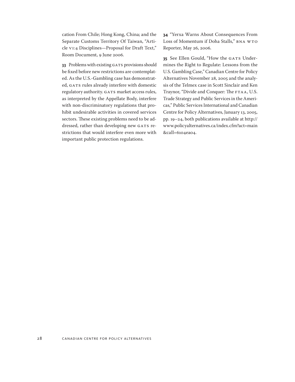cation From Chile; Hong Kong, China; and the Separate Customs Territory Of Taiwan, "Article VI:4 Disciplines—Proposal for Draft Text," Room Document, 9 June 2006.

**33** Problems with existing GATS provisions should be fixed before new restrictions are contemplated. As the U.S.-Gambling case has demonstrated, GATS rules already interfere with domestic regulatory authority. GATS market access rules, as interpreted by the Appellate Body, interfere with non-discriminatory regulations that prohibit undesirable activities in covered services sectors. These existing problems need to be addressed, rather than developing new GATS restrictions that would interfere even more with important public protection regulations.

**34** "Yerxa Warns About Consequences From Loss of Momentum if Doha Stalls," BNA WTO Reporter, May 26, 2006.

**35** See Ellen Gould, "How the GATS Undermines the Right to Regulate: Lessons from the U.S. Gambling Case," Canadian Centre for Policy Alternatives November 28, 2005 and the analysis of the Telmex case in Scott Sinclair and Ken Traynor, "Divide and Conquer: The FTAA, U.S. Trade Strategy and Public Services in the Americas," Public Services International and Canadian Centre for Policy Alternatives, January 13, 2005, pp. 19–24, both publications available at [http://](http://www.policyalternatives.ca/index.cfm?act=main&call=6104ea04) [www.policyalternatives.ca/index.cfm?act=main](http://www.policyalternatives.ca/index.cfm?act=main&call=6104ea04) [&call=6104ea04.](http://www.policyalternatives.ca/index.cfm?act=main&call=6104ea04)